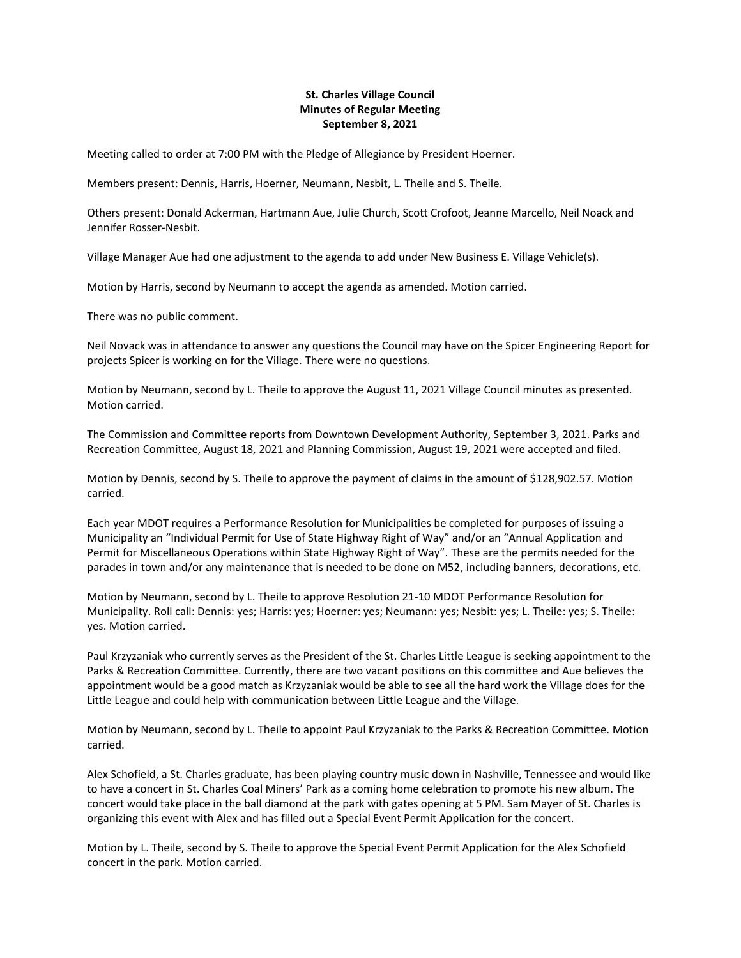## **St. Charles Village Council Minutes of Regular Meeting September 8, 2021**

Meeting called to order at 7:00 PM with the Pledge of Allegiance by President Hoerner.

Members present: Dennis, Harris, Hoerner, Neumann, Nesbit, L. Theile and S. Theile.

Others present: Donald Ackerman, Hartmann Aue, Julie Church, Scott Crofoot, Jeanne Marcello, Neil Noack and Jennifer Rosser-Nesbit.

Village Manager Aue had one adjustment to the agenda to add under New Business E. Village Vehicle(s).

Motion by Harris, second by Neumann to accept the agenda as amended. Motion carried.

There was no public comment.

Neil Novack was in attendance to answer any questions the Council may have on the Spicer Engineering Report for projects Spicer is working on for the Village. There were no questions.

Motion by Neumann, second by L. Theile to approve the August 11, 2021 Village Council minutes as presented. Motion carried.

The Commission and Committee reports from Downtown Development Authority, September 3, 2021. Parks and Recreation Committee, August 18, 2021 and Planning Commission, August 19, 2021 were accepted and filed.

Motion by Dennis, second by S. Theile to approve the payment of claims in the amount of \$128,902.57. Motion carried.

Each year MDOT requires a Performance Resolution for Municipalities be completed for purposes of issuing a Municipality an "Individual Permit for Use of State Highway Right of Way" and/or an "Annual Application and Permit for Miscellaneous Operations within State Highway Right of Way". These are the permits needed for the parades in town and/or any maintenance that is needed to be done on M52, including banners, decorations, etc.

Motion by Neumann, second by L. Theile to approve Resolution 21-10 MDOT Performance Resolution for Municipality. Roll call: Dennis: yes; Harris: yes; Hoerner: yes; Neumann: yes; Nesbit: yes; L. Theile: yes; S. Theile: yes. Motion carried.

Paul Krzyzaniak who currently serves as the President of the St. Charles Little League is seeking appointment to the Parks & Recreation Committee. Currently, there are two vacant positions on this committee and Aue believes the appointment would be a good match as Krzyzaniak would be able to see all the hard work the Village does for the Little League and could help with communication between Little League and the Village.

Motion by Neumann, second by L. Theile to appoint Paul Krzyzaniak to the Parks & Recreation Committee. Motion carried.

Alex Schofield, a St. Charles graduate, has been playing country music down in Nashville, Tennessee and would like to have a concert in St. Charles Coal Miners' Park as a coming home celebration to promote his new album. The concert would take place in the ball diamond at the park with gates opening at 5 PM. Sam Mayer of St. Charles is organizing this event with Alex and has filled out a Special Event Permit Application for the concert.

Motion by L. Theile, second by S. Theile to approve the Special Event Permit Application for the Alex Schofield concert in the park. Motion carried.